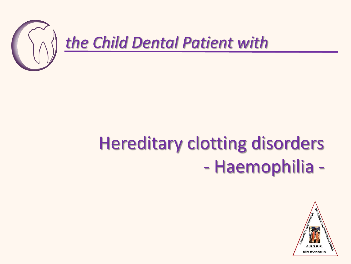

# Hereditary clotting disorders - Haemophilia -

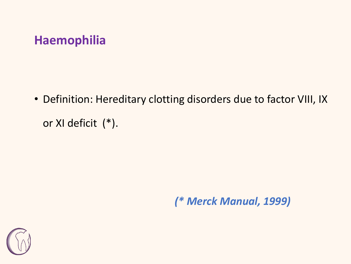#### **Haemophilia**

• Definition: Hereditary clotting disorders due to factor VIII, IX or XI deficit (\*).

*(\* Merck Manual, 1999)*

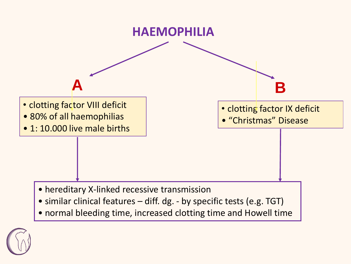

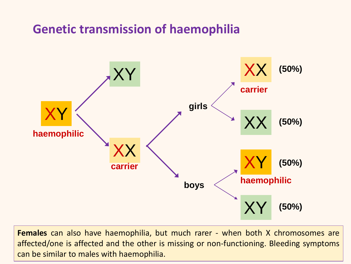#### **Genetic transmission of haemophilia**



**Females** can also have haemophilia, but much rarer - when both X chromosomes are affected/one is affected and the other is missing or non-functioning. Bleeding symptoms can be similar to males with haemophilia.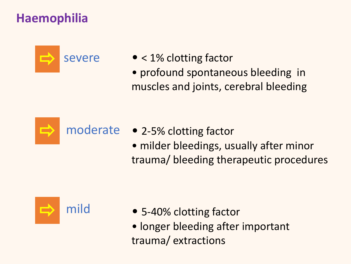### **Haemophilia**



- < 1% clotting factor
- profound spontaneous bleeding in muscles and joints, cerebral bleeding



- moderate 2-5% clotting factor
	- milder bleedings, usually after minor trauma/ bleeding therapeutic procedures



- 5-40% clotting factor
- longer bleeding after important trauma/ extractions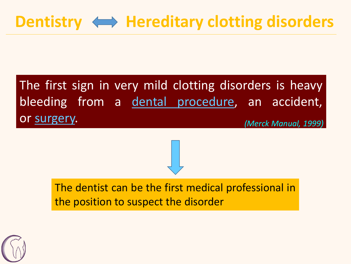# Dentistry  $\iff$  Hereditary clotting disorders

#### The first sign in very mild clotting disorders is heavy bleeding from a dental [procedure,](about:blank) an accident, or [surgery.](about:blank) *(Merck Manual, 1999)*

The dentist can be the first medical professional in the position to suspect the disorder

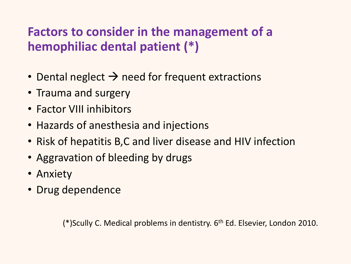## **Factors to consider in the management of a hemophiliac dental patient (\*)**

- Dental neglect  $\rightarrow$  need for frequent extractions
- Trauma and surgery
- Factor VIII inhibitors
- Hazards of anesthesia and injections
- Risk of hepatitis B,C and liver disease and HIV infection
- Aggravation of bleeding by drugs
- Anxiety
- Drug dependence

(\*)Scully C. Medical problems in dentistry. 6<sup>th</sup> Ed. Elsevier, London 2010.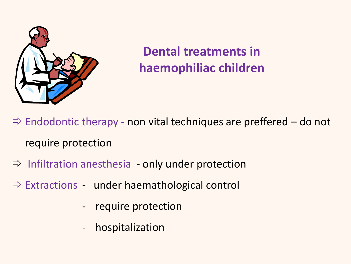

# **Dental treatments in haemophiliac children**

 $\Rightarrow$  Endodontic therapy - non vital techniques are preffered – do not require protection

- $\Rightarrow$  Infiltration anesthesia only under protection
- $\Rightarrow$  Extractions under haemathological control
	- require protection
	- hospitalization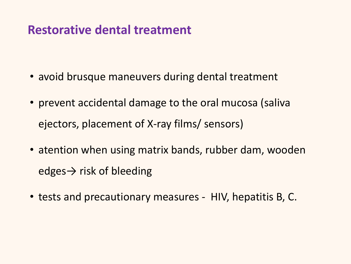#### **Restorative dental treatment**

- avoid brusque maneuvers during dental treatment
- prevent accidental damage to the oral mucosa (saliva ejectors, placement of X-ray films/ sensors)
- atention when using matrix bands, rubber dam, wooden edges $\rightarrow$  risk of bleeding
- tests and precautionary measures HIV, hepatitis B, C.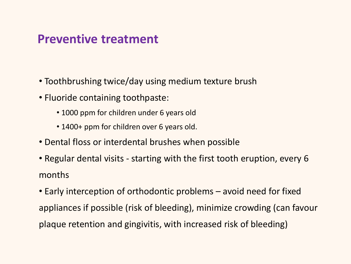#### **Preventive treatment**

- Toothbrushing twice/day using medium texture brush
- Fluoride containing toothpaste:
	- 1000 ppm for children under 6 years old
	- 1400+ ppm for children over 6 years old.
- Dental floss or interdental brushes when possible
- Regular dental visits starting with the first tooth eruption, every 6 months
- Early interception of orthodontic problems avoid need for fixed appliances if possible (risk of bleeding), minimize crowding (can favour plaque retention and gingivitis, with increased risk of bleeding)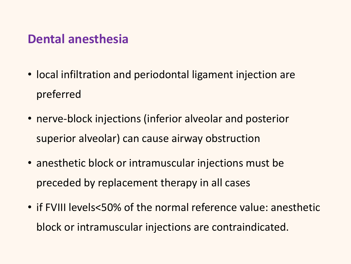#### **Dental anesthesia**

- local infiltration and periodontal ligament injection are preferred
- nerve-block injections (inferior alveolar and posterior superior alveolar) can cause airway obstruction
- anesthetic block or intramuscular injections must be preceded by replacement therapy in all cases
- if FVIII levels<50% of the normal reference value: anesthetic block or intramuscular injections are contraindicated.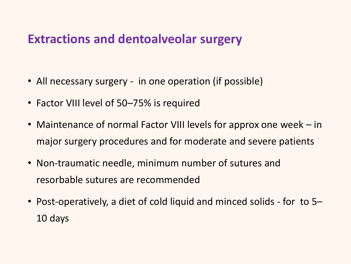#### **Extractions and dentoalveolar surgery**

- All necessary surgery in one operation (if possible)
- Factor VIII level of 50–75% is required
- Maintenance of normal Factor VIII levels for approx one week in major surgery procedures and for moderate and severe patients
- Non-traumatic needle, minimum number of sutures and resorbable sutures are recommended
- Post-operatively, a diet of cold liquid and minced solids for to 5– 10 days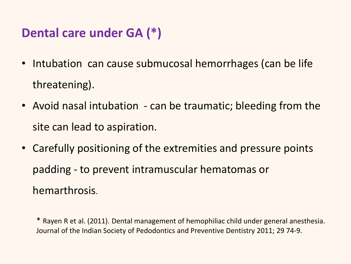#### **Dental care under GA (\*)**

- Intubation can cause submucosal hemorrhages (can be life threatening).
- Avoid nasal intubation can be traumatic; bleeding from the site can lead to aspiration.
- Carefully positioning of the extremities and pressure points padding - to prevent intramuscular hematomas or hemarthrosis.

\* Rayen R et al. (2011). Dental management of hemophiliac child under general anesthesia. Journal of the Indian Society of Pedodontics and Preventive Dentistry 2011; 29 74-9.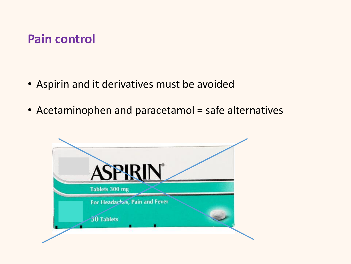#### **Pain control**

- Aspirin and it derivatives must be avoided
- Acetaminophen and paracetamol = safe alternatives

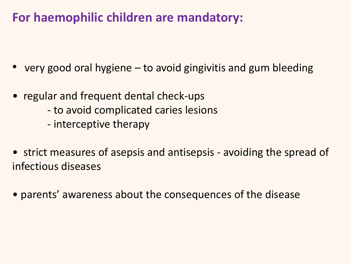### **For haemophilic children are mandatory:**

- very good oral hygiene to avoid gingivitis and gum bleeding
- regular and frequent dental check-ups
	- to avoid complicated caries lesions
	- interceptive therapy
- strict measures of asepsis and antisepsis avoiding the spread of infectious diseases
- parents' awareness about the consequences of the disease